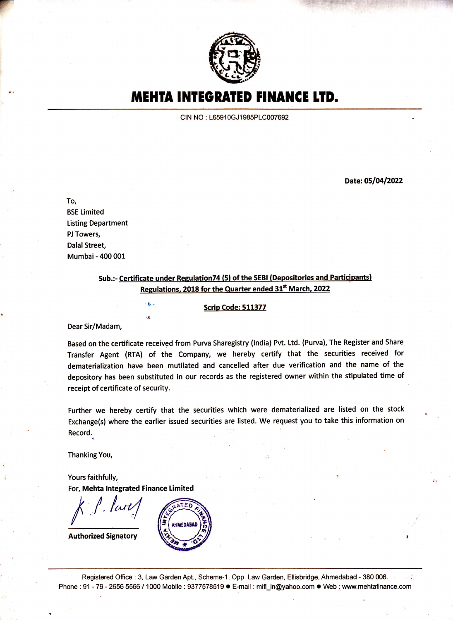

**MEHTA INTEGRATED FINANCE LTD.** 

CIN NO: L65910GJ1985PLC007692

Date: 05/04/2022

\* **1980** 

To,

BSE Limited Listing Department PJ Towers, Dalal Street, Mumbai - 400 001

> Sub.:- Certificate under Regulation74 (5) of the SEBI (Depositories and Participants) Regulations, 2018 for the Quarter ended 31<sup>st</sup> March, 2022

> > $\frac{1}{2}$  Scrip Code: 511377

Dear Sir/Madam,

Based on the certificate received from Purva Sharegistry (lndia) Pvt. Ltd. (Purva), The Register and Share Transfer Agent (RTA) of the Company, we hereby certify that the securities received for dernaterialization have been mutilated and cancelled after due verification and the name of the depository has been substituted in our records as the registered owner within the stipulated time of receipt of certificate of security.

Further we hereby certify that the securities which were dematerialized are listed on the stock Exchange(s) where the earlier issued securities are listed. We request you to take this information on Record.

Thanking You,

Yours faithfully, For, Mehta lntegrated Finance Limited

rd

 $k$   $l$  . lares

Authorized Signatory



Registered Office : 3, Law Garden Apt., Scheme-1, Opp. Law Garden, Ellisbridge, Ahmedabad - 380 006. Phone: 91 - 79 - 2656 5566 / 1000 Mobile : 9377578519 · E-mail : mifl\_in@yahoo.com · Web ; www.mehtafinance.com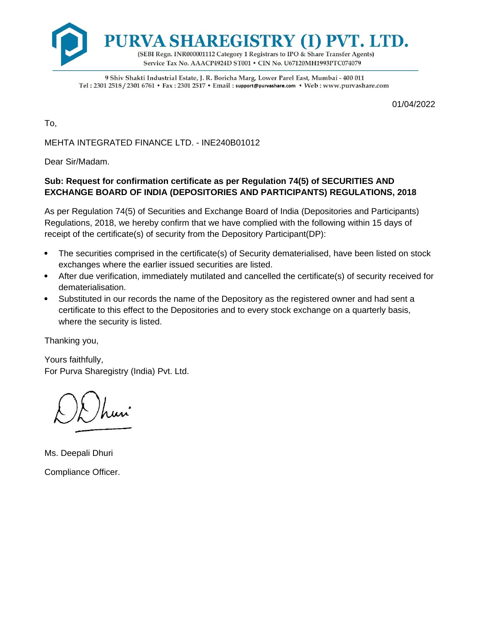

9 Shiv Shakti Industrial Estate, J. R. Boricha Marg, Lower Parel East, Mumbai - 400 011 Tel: 2301 2518 / 2301 6761 • Fax: 2301 2517 • Email: support@purvashare.com • Web: www.purvashare.com

01/04/2022

To,

MEHTA INTEGRATED FINANCE LTD. - INE240B01012

Dear Sir/Madam.

## **Sub: Request for confirmation certificate as per Regulation 74(5) of SECURITIES AND EXCHANGE BOARD OF INDIA (DEPOSITORIES AND PARTICIPANTS) REGULATIONS, 2018**

As per Regulation 74(5) of Securities and Exchange Board of India (Depositories and Participants) Regulations, 2018, we hereby confirm that we have complied with the following within 15 days of receipt of the certificate(s) of security from the Depository Participant(DP):

- The securities comprised in the certificate(s) of Security dematerialised, have been listed on stock exchanges where the earlier issued securities are listed.
- After due verification, immediately mutilated and cancelled the certificate(s) of security received for dematerialisation.
- Substituted in our records the name of the Depository as the registered owner and had sent a certificate to this effect to the Depositories and to every stock exchange on a quarterly basis, where the security is listed.

Thanking you,

Yours faithfully, For Purva Sharegistry (India) Pvt. Ltd.

Ms. Deepali Dhuri Compliance Officer.